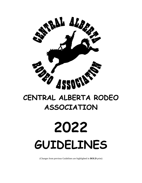

# **CENTRAL ALBERTA RODEO ASSOCIATION**

# **2022 GUIDELINES**

(Changes from previous Guidelines are highlighted in **BOLD** print)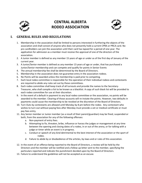

# **CENTRAL ALBERTA RODEO ASSOCIATION**



# **I. GENERAL RULES AND REGULATIONS**

- 1. Membership in the association shall be limited to persons interested in furthering the objects of the association and shall consist of anyone who does not presently hold a current CPRA or PRCA card. No pro cardholders can join the association until their card has lapsed for a period of one year. The application for admission as a member must receive the approval of one of the directors of the association.
- 2. A Junior member is defined as any member 15 years of age or under as of the first day of January of the current year.
- 3. A Junior/Senior member is defined as any member 15 years of age or under, that has purchased a Junior/Senior membership and can compete and qualify for points in Senior Events
- 4. The annual membership fee shall be determined by the Board of Directors.
- 5. Membership in the association does not guarantee entry in the association rodeos.
- 6. No Points will be awarded unless the membership is paid prior to competing.
- 7. Each local rodeo committee is responsible for the operation of their individual rodeos and contestants are required to abide any rules set out by these committees.
- 8. Each rodeo committee shall keep track of all turnouts and provide the names to the Secretary-Treasurer, who shall compile a list to be known as a blacklist. A copy of such black list will be provided to each rodeo committee for use at their discretion.
- 9. In the event of a default in payment to any local rodeo committee or the association, no points will be awarded to the member. Clearing of those accounts will re-instate the points. However, two defaults in payments could cause the membership to be revoked at the discretion of the Board of Directors.
- 10. Turn Outs by contestants are allowed until Monday by 8 pm before the rodeo. Any contestant who wishes to turn out without paying fees after Monday must provide a vet or medical certificate or must pay fees entry.
- 11. Any Senior member or Junior member (as a result of their parent/guardian) may be fined, suspended or both, from the association for any of the following offenses:
	- a. Non-payment of entry fees.
	- b. Attempting to fix, threaten, bribe, influence or harass the judges or management at any time between the opening and closing dates of a rodeo, in or out of the arena, or for talking with a judge or timer while an event is in progress.
	- c. Conduct or speech of any kind detrimental to the best interest of the association or the sport of rodeo.
	- d. Failure to abide by or disobedience of the articles, by-laws and or rules of this association.
- 12. In the event of an offence being reported to the Board of Directors, a review will be held by the Directors and the member will be notified and a follow up letter sent to the member, specifying the particulars reported and indicate the punishment decided upon by the Board of Directors.
- 13. Failure to understand the guidelines will not be accepted as an excuse.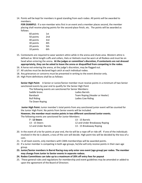14. Points will be kept for members in good standing from each rodeo. All points will be awarded to members.

**FOR EXAMPLE:** If a non-member wins first in an event and a member places second, the member placing shall receive placing points for the second-place finish, etc. The points will be awarded as follows:

- 60 points 1st 50 points 2nd 40 points 3rd 30 points 4th 20 points 5th 10 points 6th
- 15. Contestants are required to wear western attire while in the arena and chute area. Western attire is defined as: Wrist length cuffs and collars, Hats or Helmets must be worn at all Rodeos and must be on head when entering the arena**. At the judges or committee's discretion, if contestants are not dressed appropriately, they can be asked to leave the arena or disqualified from competing in the rodeo.**
- 16. A horse not entering the arena, at the judge's discretion, may be flagged out.
- 17. All catches must be declared legal catch at each individual rodeo.
- 18. Any grievances or concerns must be presented in writing to the event director only.
- 19. High Point definitions shall be as follows:

**Senior High Point:** A Senior or Junior/Senior member must receive points in a minimum of two Senior sanctioned events by year end to qualify for the Senior High Point

| The following events are sanctioned for Senior Members: |                                |
|---------------------------------------------------------|--------------------------------|
| Saddle bronc                                            | Ladies Barrels                 |
| Bareback                                                | Team Roping (Header or Heeler) |
| <b>Bull Riding</b>                                      | Ladies Cow Riding              |
| Tie Down Roping                                         |                                |

**Junior High Point:** Junior member's total points from any sanctioned junior event will be counted for the Junior High Point. No points from Senior events will be included.

**However, the member must receive points in two different sanctioned Junior events.** The following events are sanctioned for Junior Members:

| 7 - 12 Steers        | 13 - 15 Barrels               |
|----------------------|-------------------------------|
| 13 - 15 Steers       | 12 and Under Breakaway Roping |
| 12 and Under Barrels | 13 - 15 Breakaway Roping      |

- 20. In the event of a tie for points at year end, the tie will be a rope-off or ride off. If one of the individuals involved in the tie is absent, a toss of the coin will decide. High point ties will be decided by the toss of a coin.
- 21. In all team events, only members with CARA memberships will be awarded points.
- 22. If a Junior member is competing in both age groups, he/she will only receive points in their own age group.
- **23. Junior/Senior members in Barrel Racing may only enter one event (age group) per rodeo. The member may change from Junior to Senior events in separate rodeos.**
- **24. Rodeo Committees can take up to a maximum of 20% off entry fees for payout**
- 25. These general rules and regulations for membership and event guidelines may be amended or added to upon the agreement of the Board of Directors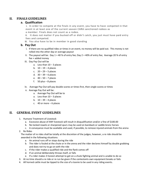# **II. FINALS GUIDELINES**

# **a. Qualification**

i. In order to compete at the finals in any event, you have to have competed in that event in at least one of the current season CARA sanctioned rodeos as a member. Finals does not count as a rodeo.

ii. It does not matter if you bucked off or didn't catch, you just must have paid entry fees and competed.

iii. You also have to be in member in good standing

# **b. Pay Out**

- i. If there are no qualified rides or times in an event, no money will be paid out. This money is not rolled into the other day or average payout
- ii. The payout will be: Day  $1 = 40\%$  of entry fee; Day  $2 = 40\%$  of entry fee; Average 20 % of entry fee + added money
- iii. Day Pay Out will be
	- a. Less than  $10 3$  places
	- b.  $10 19 4$  places
	- c. 20 29 5 places
	- d.  $30 39 6$  places
	- e. 40 50 7 places
	- f. 50 plus 8 places
- iv. Average Pay Out will pay double scores or times first, then single scores or times
- v. Average Pay Out will be:
	- a. Average Pay Out will be to
	- a. Less than  $10 3$  places
	- b.  $10 39 4$  places
	- c. 40 or more 6 places

# **II. GENERAL EVENT GUIDELINES**

- 1. Humane Treatment of Livestock
	- a. Excessive abuse of ANY livestock will result in disqualification and/or a fine of \$100.00
	- b. No locked rowels or sharpened spurs may be used on bareback or saddle bronc horses
	- c. A conveyance must be available and used, if possible, to remove injured animals from the arena
- 2. Re Rides

The matter of re rides shall be totally at the discretion of the judges, however, a re ride should be awarded in the following situations:

- a. An animal runs off or stops during the ride
- b. The rider is fouled at the chute or in the arena and the rider declares himself by double grabbing and does not try to go on with the ride
- c. If the rider makes a qualified ride and the flank comes off
- d. If an animal deliberately throws itself, or falls
- e. If a rider makes 3 honest attempt to get on a chute fighting animal and is unable to do so
- 3. At no time should a re ride or re run be given if the contestants own equipment breaks or fails
- 4. All horned cattle must be tipped to the size of a toonie to be used in any riding events.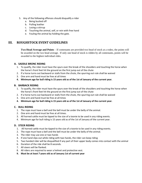- 5. Any of the following offences should disqualify a rider
	- a. Being bucked off
	- b. Pulling leather
	- c. Losing a stirrup
	- d. Touching the animal, self, or rein with free hand
	- e. Fouling the animal by holding the gate.

# **III. ROUGHSTOCK EVENT GUIDELINES**

**Two Head Average and Points** – If contestants are provided two head of stock at a rodeo, the points will be awarded on the two head average. If only one head of stock is ridden by all contestants, points will be awarded to the highest individual rides.

# **A. SADDLE BRONC RIDING**

- 1. To qualify, the rider must have the spurs over the break of the shoulders and touching the horse when the horse's front feet hit the ground on the first jump out of the chute
- 2. If a horse turns out backward or stalls from the chute, the spurring out rule shall be waived
- 3. One arm and hand must be free at all times
- **4. Minimum age for bull riding is 15 years old as of the 1st of January of the current year.**

# **B. BARBACK RIDING**

- 1. To qualify, the rider must have the spurs over the break of the shoulders and touching the horse when the horse's front feet hit the ground on the first jump out of the chute
- 2. If a horse turns out backward or stalls from the chute, the spurring out rule shall be waived
- 3. One arm and hand must be free at all times
- **4. Minimum age for bull riding is 15 years old as of the 1st of January of the current year.**

# **C. BULL RIDING**

- 1. The rope must have a bell and the bell must be under the belly of the animal.
- 2. One arm and hand must be free at all times.
- 3. All horned cattle must be tipped to the size of a toonie to be used in any riding events.
- 4. Minimum age for bull riding is 15 years old as of the 1st of January of the current year.

# **D. STEER RIDING**

- 1. All horned cattle must be tipped to the size of a toonie to be used in any riding events.
- 2. The rope must have a bell and the bell must be under the belly of the animal.
- 3. The rider may use one or two hands
- 4. If one hand slips out while riding with two hands, the rider can keep riding
- 5. Two handed rider will be disqualified if any part of their upper body comes into contact with the animal
- 6. Duration of the ride shall be 8 seconds.
- 7. All steers will be flanked.
- 8. All riders are required to wear a helmet and protective vest.
- **9. Must be at least 7 years old as of January 1st of current year**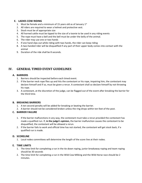# **E. LADIES COW RIDING**

- 1. Must be female and a minimum of 15 years old as of January  $1<sup>st</sup>$
- 2. All riders are required to wear a helmet and protective vest.
- 3. Stock must be of appropriate size
- 4. All horned cattle must be tipped to the size of a toonie to be used in any riding events
- 5. The rope must have a bell and the bell must be under the belly of the animal.
- 6. The rider may use one or two hands
- 7. If one hand slips out while riding with two hands, the rider can keep riding
- 8. A two-handed rider will be disqualified if any part of their upper body comes into contact with the animal
- 9. Duration of the ride shall be 8 seconds.

# **IV. GENERAL TIMED EVENT GUIDELINES**

# **A. BARRIERS**

- 1. Barriers should be inspected before each timed event.
- 2. If the barrier neck rope flies up and hits the contestant or his rope, impairing him, the contestant may declare himself and if so, must be given a rerun. A contestant shall so declare himself by not throwing his rope.
- 3. A contestant, at the discretion of the judge, can be flagged out of the event after breaking the barrier for the third time.

#### **B. BREAKING BARRIERS**

- 1. A ten second penalty will be added for breaking or beating the barrier.
- 2. A barrier should not be considered broken unless the ring drops within ten feet of the post.

# **C. BARRIER FAILURE**

- 1. If the barrier malfunctions in any way, the contestant must take a rerun provided the contestant has made a qualified run. If, **in the judge's opinion,** the barrier malfunction causes the contestant to be disqualified, the contestant will be allowed a rerun.
- 2. If the barrier fails to work and official time has not started, the contestant will get stock back, if a qualified run is made.

# **D. SCORELINE**

1. Local rodeo committees will determine the length of the score line at their rodeo.

#### **E. TIME LIMITS**

- 1. The time limit for completing a run in the tie down roping, junior breakaway roping and team roping should be 30 seconds
- 2. The time limit for completing a run in the Wild Cow Milking and the Wild Horse race should be 2 minutes.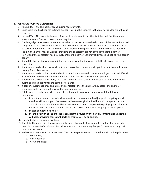# **F. GENERAL ROPING GUIDELINES**

- 1. Roping Box- shall be part of arena during roping events.
- 2. Once score line has been set in timed events, it will not be changed in that go, nor can length of box be changed.
- 3. Lap and Tap No barrier to be used. If barrier judge is used to flag the start, he shall flag the animal when the animal's nose crosses the starting line.
- 4. The line judge must have a tape measure in his possession in case the short end of the barrier is carried. The pigtail of the barrier should not exceed 10 inches in length. A longer pigtail on a barrier will often be carried when the barrier should have been broken. If the pigtail is carried more than 10 feet from the pin, the barrier may be waived, providing the contestant did not obviously beat the barrier. However, if the contestant has obviously broken the barrier, you may still impose a beating- the-barrier penalty.
- 5. Should the barrier break at any point other than designated breaking point, the decision is up to the barrier judge.
- 6. If automatic barrier does not work, but time is recorded, contestant will get time, but there will be no penalty for broken barrier.
- 7. If automatic barrier fails to work and official time has not started, contestant will get stock back if stock is qualified on in the field, therefore entitling contestant to a rerun without penalties.
- 8. If automatic barrier fails to work, and stock is brought back, contestant must take same animal over during or immediately after the same performance.
- 9. If barrier equipment hangs on animal and contestant tries the animal, they accept the animal. If contestant pulls up, they will receive the same animal back.
- 10. Calf belongs to contestant when they call for it, regardless of what happens, with the following exceptions:
	- a. In any timed event, if an animal escapes from the arena, the field judge will drop flag and all watches will be stopped. Contestant will receive original animal back with a lap and tap start. Time already accumulated will be added to time used to complete the qualifying run. If time is not recorded, the contestant will receive a 10 second penalty for any jump or any loop used.
	- b. In case of mechanical failure.
	- c. If, in the opinion of the line judge, contestant is fouled by the barrier, contestant shall get their calf back, providing contestant declares themselves, by pulling up.
- 11. Time to be taken between two flags.
- 12. It shall be the arena director's responsibility to see that contestant competes on the stock drawn for them. In the event of a mistake, stock drawn for must be run during that performance and only that time or score taken.
- 13. In the event that horned cattle are used (Team Roping or Breakaway) then there will be 3 legal catches:
	- a. Both horns;
	- b. Half a head; or
	- c. Around the neck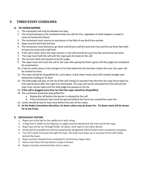# **V. TIMED EVENT GUIDELINES**

# **A. TIE DOWN ROPING**

- 1. The contestant will only be allowed one loop.
- 2. The animal belongs to the contestant when he calls for him, regardless of what happens, except in cases of mechanical failure.
- 3. The contestant must receive no assistance in the field of any kind from outside.
- 4. Rope must be tied hard and fast.
- 5. The contestant must dismount, go down and throw a calf by hand and cross and tie any three feet with at least one wrap and a half hitch.
- 6. If the calf is down when the rope reaches it, the calf must be let up to his feet and thrown by hand.
- 7. The rope must hold the calf until the roper gets his hand on the calf.
- 8. The tie must hold until passed on by the judge.
- 9. The roper must not touch the calf or the rope after giving the finish signal until the judge has completed his examination.
- 10. If the tie comes loose or the calf gets to his feet before the tie has been ruled a fair one, the roper will be marked no time.
- 11. The roper should be disqualified for a jerk down. A jerk down means that calf is jerked straight over backwards landing on its back.
- 12. The field judge will pass on the tie of the calf, timing six seconds from the time the rope horse takes his first step forward after the roper has remounted. The rope will not be removed from the calf and the rope must remain slack until the field judge has passed on the tie.
- 13. **If the calf is dragged more than ten feet the roper should be disqualified.**
- 14. The contestant should be disqualified for:
	- a. Roping the calf before the barrier is released by the calf.
	- b. If the contestants feet touch the ground before the horse has crossed the score line
- 15. Calves should be tied at least once before the start of the rodeo.
- 16. **At the Rodeo Committee discretion, tie down calves may be drawn for. Tie Down stock will be drawn for at the Finals.**

#### **B. BREAKAWAY ROPING**

- 1. Ropes are to be tied to the saddle horn with string.
- 2. A flag that is visible to the flagman or judge must be attached at the knot end of the rope.
- 3. Rope may not be run through bridle, tie down, neck rope or any other device.
- 4. String will be provided and will be inspected by designated official before each contestant competes.
- 5. The calf's head must pass through the loop. The loop must draw up on any part of the calf's body behind the head.
- 6. Rope must be released from contestant's hand to be a legal catch.
- 7. Horse must clear the box before a loop is thrown.
- 8. Ropers must be mounted when time is taken.